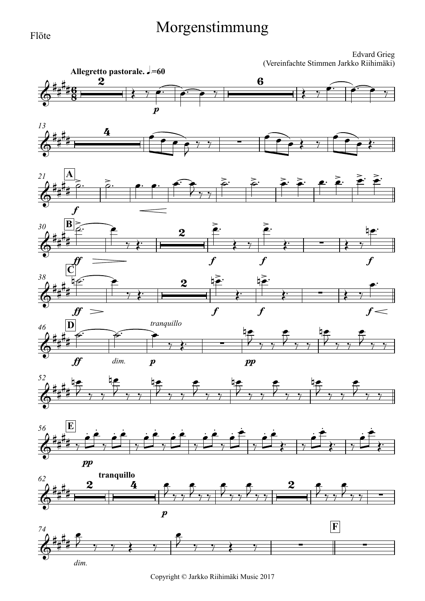## Morgenstimmung

Edvard Grieg (Vereinfachte Stimmen Jarkko Riihimäki)



Copyright © Jarkko Riihimäki Music 2017